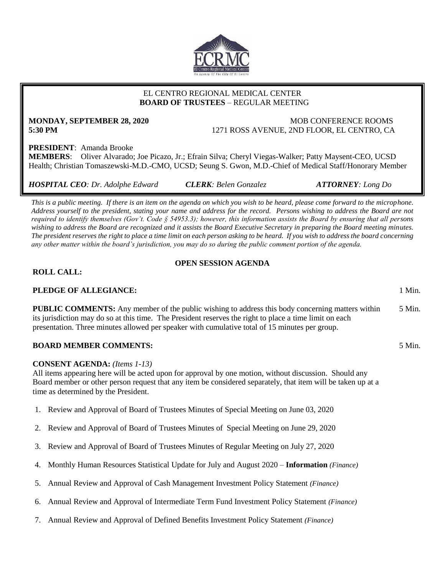

## EL CENTRO REGIONAL MEDICAL CENTER  **BOARD OF TRUSTEES** – REGULAR MEETING

# **MONDAY, SEPTEMBER 28, 2020** MOB CONFERENCE ROOMS

**5:30 PM** 1271 ROSS AVENUE, 2ND FLOOR, EL CENTRO, CA

**PRESIDENT**: Amanda Brooke **MEMBERS**: Oliver Alvarado; Joe Picazo, Jr.; Efrain Silva; Cheryl Viegas-Walker; Patty Maysent-CEO, UCSD Health; Christian Tomaszewski-M.D.-CMO, UCSD; Seung S. Gwon, M.D.-Chief of Medical Staff/Honorary Member

*HOSPITAL CEO: Dr. Adolphe Edward CLERK: Belen Gonzalez ATTORNEY: Long Do*

*This is a public meeting. If there is an item on the agenda on which you wish to be heard, please come forward to the microphone. Address yourself to the president, stating your name and address for the record. Persons wishing to address the Board are not required to identify themselves (Gov't. Code § 54953.3); however, this information assists the Board by ensuring that all persons wishing to address the Board are recognized and it assists the Board Executive Secretary in preparing the Board meeting minutes. The president reserves the right to place a time limit on each person asking to be heard. If you wish to address the board concerning any other matter within the board's jurisdiction, you may do so during the public comment portion of the agenda.*

# **OPEN SESSION AGENDA**

## **ROLL CALL:**

# **PLEDGE OF ALLEGIANCE:** 1 Min.

**PUBLIC COMMENTS:** Any member of the public wishing to address this body concerning matters within its jurisdiction may do so at this time. The President reserves the right to place a time limit on each presentation. Three minutes allowed per speaker with cumulative total of 15 minutes per group. 5 Min.

# **BOARD MEMBER COMMENTS:** 5 Min.

### **CONSENT AGENDA:** *(Items 1-13)*

All items appearing here will be acted upon for approval by one motion, without discussion. Should any Board member or other person request that any item be considered separately, that item will be taken up at a time as determined by the President.

- 1. Review and Approval of Board of Trustees Minutes of Special Meeting on June 03, 2020
- 2. Review and Approval of Board of Trustees Minutes of Special Meeting on June 29, 2020
- 3. Review and Approval of Board of Trustees Minutes of Regular Meeting on July 27, 2020
- 4. Monthly Human Resources Statistical Update for July and August 2020 **Information** *(Finance)*
- 5. Annual Review and Approval of Cash Management Investment Policy Statement *(Finance)*
- 6. Annual Review and Approval of Intermediate Term Fund Investment Policy Statement *(Finance)*
- 7. Annual Review and Approval of Defined Benefits Investment Policy Statement *(Finance)*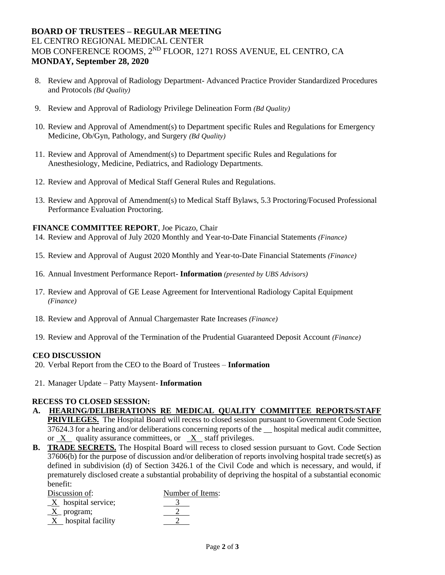# **BOARD OF TRUSTEES – REGULAR MEETING** EL CENTRO REGIONAL MEDICAL CENTER MOB CONFERENCE ROOMS, 2ND FLOOR, 1271 ROSS AVENUE, EL CENTRO, CA **MONDAY, September 28, 2020**

- 8. Review and Approval of Radiology Department- Advanced Practice Provider Standardized Procedures and Protocols *(Bd Quality)*
- 9. Review and Approval of Radiology Privilege Delineation Form *(Bd Quality)*
- 10. Review and Approval of Amendment(s) to Department specific Rules and Regulations for Emergency Medicine, Ob/Gyn, Pathology, and Surgery *(Bd Quality)*
- 11. Review and Approval of Amendment(s) to Department specific Rules and Regulations for Anesthesiology, Medicine, Pediatrics, and Radiology Departments.
- 12. Review and Approval of Medical Staff General Rules and Regulations.
- 13. Review and Approval of Amendment(s) to Medical Staff Bylaws, 5.3 Proctoring/Focused Professional Performance Evaluation Proctoring.

#### **FINANCE COMMITTEE REPORT**, Joe Picazo, Chair

- 14. Review and Approval of July 2020 Monthly and Year-to-Date Financial Statements *(Finance)*
- 15. Review and Approval of August 2020 Monthly and Year-to-Date Financial Statements *(Finance)*
- 16. Annual Investment Performance Report- **Information** *(presented by UBS Advisors)*
- 17. Review and Approval of GE Lease Agreement for Interventional Radiology Capital Equipment *(Finance)*
- 18. Review and Approval of Annual Chargemaster Rate Increases *(Finance)*
- 19. Review and Approval of the Termination of the Prudential Guaranteed Deposit Account *(Finance)*

#### **CEO DISCUSSION**

- 20. Verbal Report from the CEO to the Board of Trustees **Information**
- 21. Manager Update Patty Maysent- **Information**

#### **RECESS TO CLOSED SESSION:**

- **A. HEARING/DELIBERATIONS RE MEDICAL QUALITY COMMITTEE REPORTS/STAFF PRIVILEGES.** The Hospital Board will recess to closed session pursuant to Government Code Section 37624.3 for a hearing and/or deliberations concerning reports of the hospital medical audit committee, or X quality assurance committees, or X staff privileges.
- **B. TRADE SECRETS.** The Hospital Board will recess to closed session pursuant to Govt. Code Section 37606(b) for the purpose of discussion and/or deliberation of reports involving hospital trade secret(s) as defined in subdivision (d) of Section 3426.1 of the Civil Code and which is necessary, and would, if prematurely disclosed create a substantial probability of depriving the hospital of a substantial economic benefit:

| Discussion of:                    | Number of Items: |
|-----------------------------------|------------------|
| $\underline{X}$ hospital service; |                  |
| $\underline{X}$ program;          |                  |
| $X$ hospital facility             |                  |